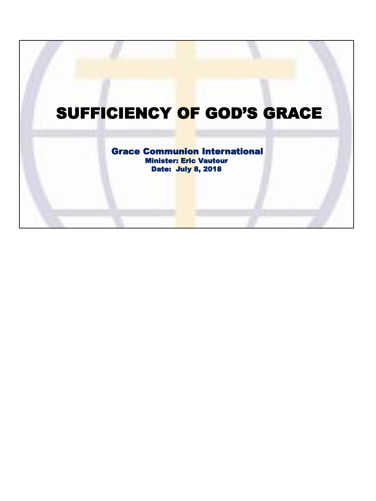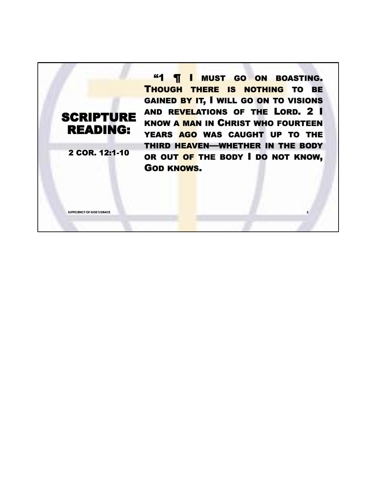## **SCRIPTURE** READING:

2 COR. 12:1-10

**SUFFICIENCY OF GOD'S GRACE 2**

**"1 | I MUST GO ON BOASTING.** THOUGH THERE IS NOTHING TO BE GAINED BY IT, I WILL GO ON TO VISIONS AND REVELATIONS OF THE LORD. 2 I KNOW A MAN IN CHRIST WHO FOURTEEN YEARS AGO WAS CAUGHT UP TO THE THIRD HEAVEN—WHETHER IN THE BODY OR OUT OF THE BODY I DO NOT KNOW, GOD KNOWS.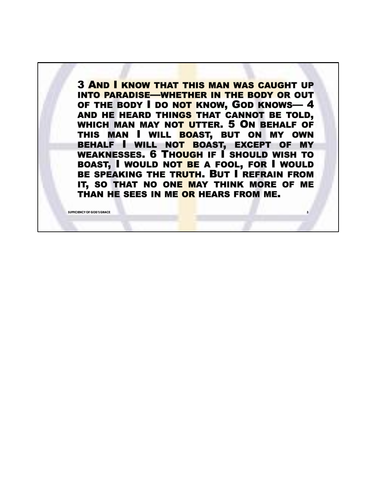3 AND I KNOW THAT THIS MAN WAS CAUGHT UP INTO PARADISE—WHETHER IN THE BODY OR OUT OF THE BODY I DO NOT KNOW, GOD KNOWS-4 AND HE HEARD THINGS THAT CANNOT BE TOLD, WHICH MAN MAY NOT UTTER. 5 ON BEHALF OF THIS MAN I WILL BOAST, BUT ON MY OWN BEHALF I WILL NOT BOAST, EXCEPT OF MY WEAKNESSES. 6 THOUGH IF I SHOULD WISH TO BOAST, I WOULD NOT BE A FOOL, FOR I WOULD BE SPEAKING THE TRUTH. BUT I REFRAIN FROM IT, SO THAT NO ONE MAY THINK MORE OF ME THAN HE SEES IN ME OR HEARS FROM ME.

**SUFFICIENCY OF GOD'S GRACE 3**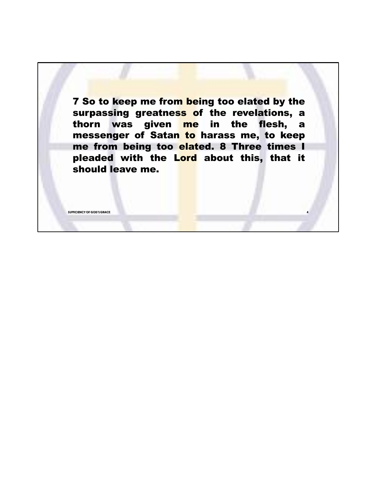**7 So to keep me from being too elated by the** surpassing greatness of the revelations, a thorn was given me in the flesh, a messenger of Satan to harass me, to keep me from being too elated. 8 Three times I pleaded with the Lord about this, that it should leave me.

**SUFFICIENCY OF GOD'S GRACE 4**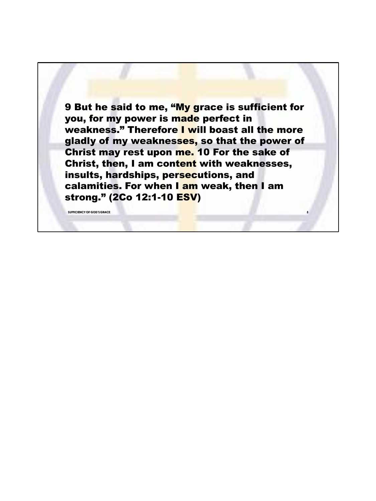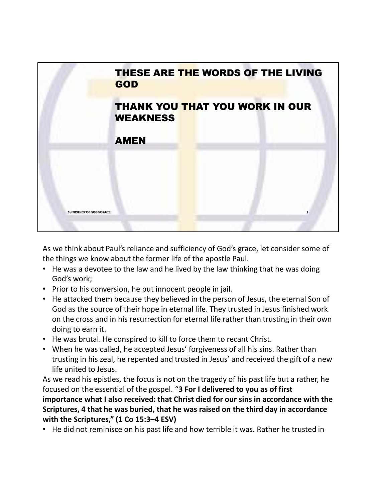

As we think about Paul's reliance and sufficiency of God's grace, let consider some of the things we know about the former life of the apostle Paul.

- He was a devotee to the law and he lived by the law thinking that he was doing God's work;
- Prior to his conversion, he put innocent people in jail.
- He attacked them because they believed in the person of Jesus, the eternal Son of God as the source of their hope in eternal life. They trusted in Jesus finished work on the cross and in his resurrection for eternal life rather than trusting in their own doing to earn it.
- He was brutal. He conspired to kill to force them to recant Christ.
- When he was called, he accepted Jesus' forgiveness of all his sins. Rather than trusting in his zeal, he repented and trusted in Jesus' and received the gift of a new life united to Jesus.

As we read his epistles, the focus is not on the tragedy of his past life but a rather, he focused on the essential of the gospel. "**3 For I delivered to you as of first importance what I also received: that Christ died for our sins in accordance with the Scriptures, 4 that he was buried, that he was raised on the third day in accordance with the Scriptures," (1 Co 15:3–4 ESV)**

• He did not reminisce on his past life and how terrible it was. Rather he trusted in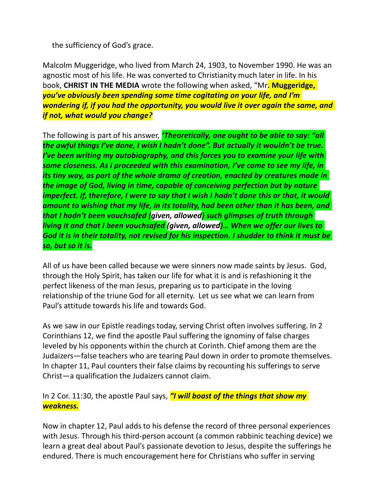the sufficiency of God's grace.

Malcolm Muggeridge, who lived from March 24, 1903, to November 1990. He was an agnostic most of his life. He was converted to Christianity much later in life. In his book, **CHRIST IN THE MEDIA** wrote the following when asked, "Mr**. Muggeridge,**  *you've obviously been spending some time cogitating on your life, and I'm wondering if, if you had the opportunity, you would live it over again the same, and if not, what would you change?*

The following is part of his answer, *'Theoretically, one ought to be able to say: "all the awful things I've done, I wish I hadn't done". But actually it wouldn't be true. I've been writing my autobiography, and this forces you to examine your life with some closeness. As I proceeded with this examination, I've come to see my life, in its tiny way, as part of the whole drama of creation, enacted by creatures made in the image of God, living in time, capable of conceiving perfection but by nature imperfect. If, therefore, I were to say that I wish I hadn't done this or that, it would amount to wishing that my life, in its totality, had been other than it has been, and that I hadn't been vouchsafed (given, allowed) such glimpses of truth through living it and that I been vouchsafed (given, allowed)… When we offer our lives to God it is in their totality, not revised for his inspection. I shudder to think it must be so, but so it is.*

All of us have been called because we were sinners now made saints by Jesus. God, through the Holy Spirit, has taken our life for what it is and is refashioning it the perfect likeness of the man Jesus, preparing us to participate in the loving relationship of the triune God for all eternity. Let us see what we can learn from Paul's attitude towards his life and towards God.

As we saw in our Epistle readings today, serving Christ often involves suffering. In 2 Corinthians 12, we find the apostle Paul suffering the ignominy of false charges leveled by his opponents within the church at Corinth. Chief among them are the Judaizers—false teachers who are tearing Paul down in order to promote themselves. In chapter 11, Paul counters their false claims by recounting his sufferings to serve Christ—a qualification the Judaizers cannot claim.

In 2 Cor. 11:30, the apostle Paul says, *"I will boast of the things that show my weakness.*

Now in chapter 12, Paul adds to his defense the record of three personal experiences with Jesus. Through his third-person account (a common rabbinic teaching device) we learn a great deal about Paul's passionate devotion to Jesus, despite the sufferings he endured. There is much encouragement here for Christians who suffer in serving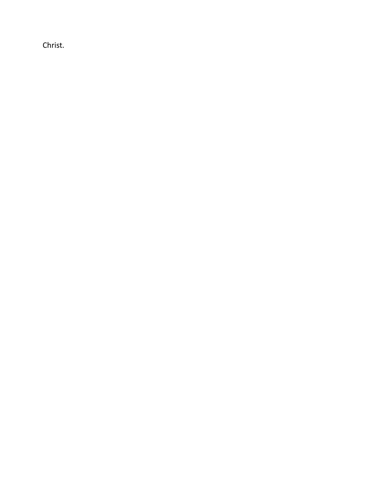Christ.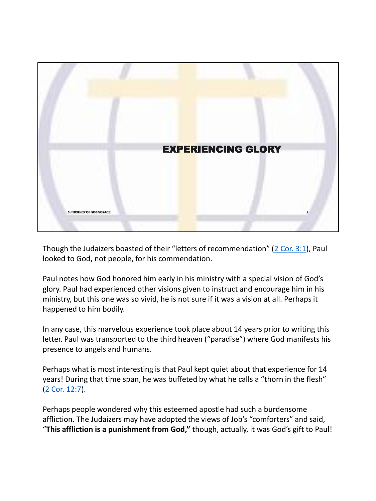

Though the Judaizers boasted of their "letters of recommendation" (2 Cor. 3:1), Paul looked to God, not people, for his commendation.

Paul notes how God honored him early in his ministry with a special vision of God's glory. Paul had experienced other visions given to instruct and encourage him in his ministry, but this one was so vivid, he is not sure if it was a vision at all. Perhaps it happened to him bodily.

In any case, this marvelous experience took place about 14 years prior to writing this letter. Paul was transported to the third heaven ("paradise") where God manifests his presence to angels and humans.

Perhaps what is most interesting is that Paul kept quiet about that experience for 14 years! During that time span, he was buffeted by what he calls a "thorn in the flesh" (2 Cor. 12:7).

Perhaps people wondered why this esteemed apostle had such a burdensome affliction. The Judaizers may have adopted the views of Job's "comforters" and said, "**This affliction is a punishment from God,"** though, actually, it was God's gift to Paul!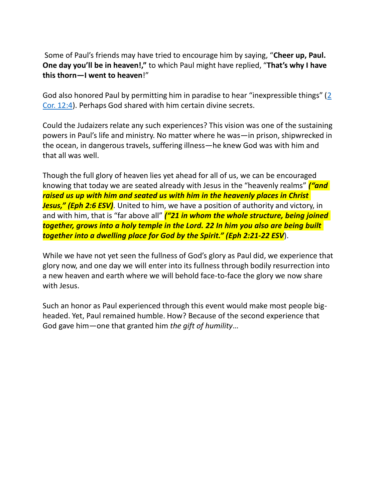Some of Paul's friends may have tried to encourage him by saying, "**Cheer up, Paul. One day you'll be in heaven!,"** to which Paul might have replied, "**That's why I have this thorn—I went to heaven**!"

God also honored Paul by permitting him in paradise to hear "inexpressible things" (2 Cor. 12:4). Perhaps God shared with him certain divine secrets.

Could the Judaizers relate any such experiences? This vision was one of the sustaining powers in Paul's life and ministry. No matter where he was—in prison, shipwrecked in the ocean, in dangerous travels, suffering illness—he knew God was with him and that all was well.

Though the full glory of heaven lies yet ahead for all of us, we can be encouraged knowing that today we are seated already with Jesus in the "heavenly realms" *("and raised us up with him and seated us with him in the heavenly places in Christ Jesus," (Eph 2:6 ESV)*. United to him, we have a position of authority and victory, in and with him, that is "far above all" *("21 in whom the whole structure, being joined together, grows into a holy temple in the Lord. 22 In him you also are being built together into a dwelling place for God by the Spirit." (Eph 2:21-22 ESV*).

While we have not yet seen the fullness of God's glory as Paul did, we experience that glory now, and one day we will enter into its fullness through bodily resurrection into a new heaven and earth where we will behold face-to-face the glory we now share with Jesus.

Such an honor as Paul experienced through this event would make most people bigheaded. Yet, Paul remained humble. How? Because of the second experience that God gave him—one that granted him *the gift of humility*…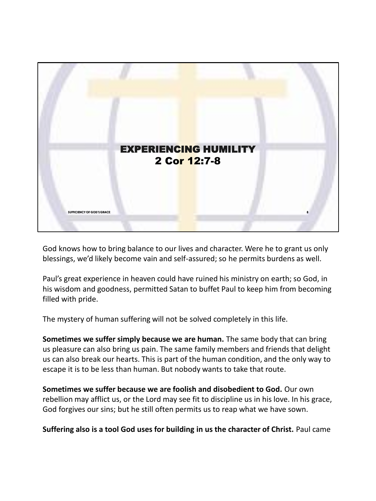

God knows how to bring balance to our lives and character. Were he to grant us only blessings, we'd likely become vain and self-assured; so he permits burdens as well.

Paul's great experience in heaven could have ruined his ministry on earth; so God, in his wisdom and goodness, permitted Satan to buffet Paul to keep him from becoming filled with pride.

The mystery of human suffering will not be solved completely in this life.

**Sometimes we suffer simply because we are human.** The same body that can bring us pleasure can also bring us pain. The same family members and friends that delight us can also break our hearts. This is part of the human condition, and the only way to escape it is to be less than human. But nobody wants to take that route.

**Sometimes we suffer because we are foolish and disobedient to God.** Our own rebellion may afflict us, or the Lord may see fit to discipline us in his love. In his grace, God forgives our sins; but he still often permits us to reap what we have sown.

**Suffering also is a tool God uses for building in us the character of Christ.** Paul came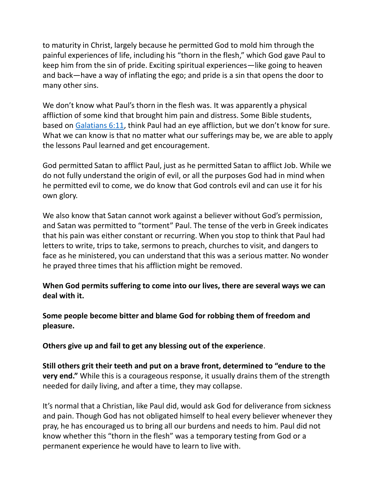to maturity in Christ, largely because he permitted God to mold him through the painful experiences of life, including his "thorn in the flesh," which God gave Paul to keep him from the sin of pride. Exciting spiritual experiences—like going to heaven and back—have a way of inflating the ego; and pride is a sin that opens the door to many other sins.

We don't know what Paul's thorn in the flesh was. It was apparently a physical affliction of some kind that brought him pain and distress. Some Bible students, based on Galatians 6:11, think Paul had an eye affliction, but we don't know for sure. What we can know is that no matter what our sufferings may be, we are able to apply the lessons Paul learned and get encouragement.

God permitted Satan to afflict Paul, just as he permitted Satan to afflict Job. While we do not fully understand the origin of evil, or all the purposes God had in mind when he permitted evil to come, we do know that God controls evil and can use it for his own glory.

We also know that Satan cannot work against a believer without God's permission, and Satan was permitted to "torment" Paul. The tense of the verb in Greek indicates that his pain was either constant or recurring. When you stop to think that Paul had letters to write, trips to take, sermons to preach, churches to visit, and dangers to face as he ministered, you can understand that this was a serious matter. No wonder he prayed three times that his affliction might be removed.

**When God permits suffering to come into our lives, there are several ways we can deal with it.** 

**Some people become bitter and blame God for robbing them of freedom and pleasure.** 

**Others give up and fail to get any blessing out of the experience**.

**Still others grit their teeth and put on a brave front, determined to "endure to the very end."** While this is a courageous response, it usually drains them of the strength needed for daily living, and after a time, they may collapse.

It's normal that a Christian, like Paul did, would ask God for deliverance from sickness and pain. Though God has not obligated himself to heal every believer whenever they pray, he has encouraged us to bring all our burdens and needs to him. Paul did not know whether this "thorn in the flesh" was a temporary testing from God or a permanent experience he would have to learn to live with.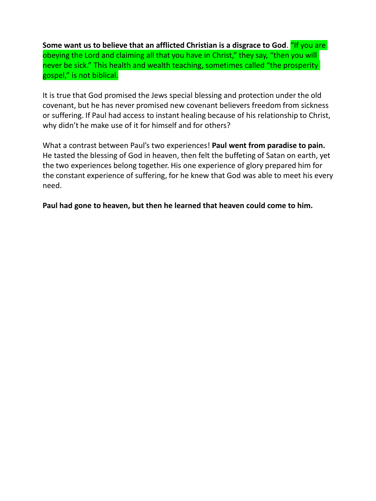**Some want us to believe that an afflicted Christian is a disgrace to God**. "If you are obeying the Lord and claiming all that you have in Christ," they say, "then you will never be sick." This health and wealth teaching, sometimes called "the prosperity gospel," is not biblical.

It is true that God promised the Jews special blessing and protection under the old covenant, but he has never promised new covenant believers freedom from sickness or suffering. If Paul had access to instant healing because of his relationship to Christ, why didn't he make use of it for himself and for others?

What a contrast between Paul's two experiences! **Paul went from paradise to pain.**  He tasted the blessing of God in heaven, then felt the buffeting of Satan on earth, yet the two experiences belong together. His one experience of glory prepared him for the constant experience of suffering, for he knew that God was able to meet his every need.

**Paul had gone to heaven, but then he learned that heaven could come to him.**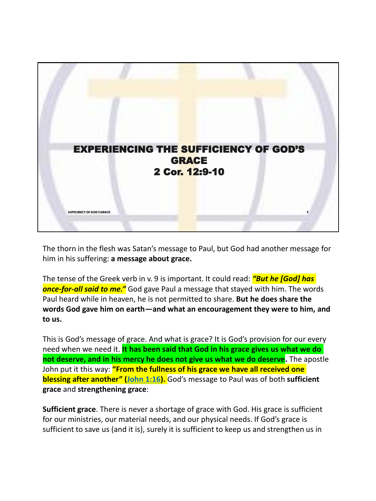

The thorn in the flesh was Satan's message to Paul, but God had another message for him in his suffering: **a message about grace.** 

The tense of the Greek verb in v. 9 is important. It could read: *"But he [God] has once-for-all said to me."* God gave Paul a message that stayed with him. The words Paul heard while in heaven, he is not permitted to share. **But he does share the words God gave him on earth—and what an encouragement they were to him, and to us.**

This is God's message of grace. And what is grace? It is God's provision for our every need when we need it. **It has been said that God in his grace gives us what we do not deserve, and in his mercy he does not give us what we do deserve.** The apostle John put it this way: **"From the fullness of his grace we have all received one blessing after another" (John 1:16).** God's message to Paul was of both **sufficient grace** and **strengthening grace**:

**Sufficient grace**. There is never a shortage of grace with God. His grace is sufficient for our ministries, our material needs, and our physical needs. If God's grace is sufficient to save us (and it is), surely it is sufficient to keep us and strengthen us in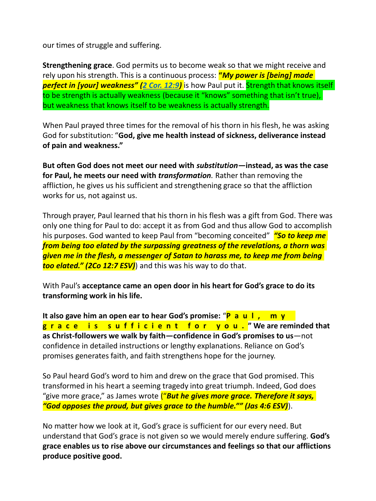our times of struggle and suffering.

**Strengthening grace**. God permits us to become weak so that we might receive and rely upon his strength. This is a continuous process: **"***My power is [being] made*  **perfect in [your] weakness" (2 Cor. 12:9)** is how Paul put it. Strength that knows itself to be strength is actually weakness (because it "knows" something that isn't true), but weakness that knows itself to be weakness is actually strength.

When Paul prayed three times for the removal of his thorn in his flesh, he was asking God for substitution: "**God, give me health instead of sickness, deliverance instead of pain and weakness."** 

**But often God does not meet our need with** *substitution—***instead, as was the case for Paul, he meets our need with** *transformation.* Rather than removing the affliction, he gives us his sufficient and strengthening grace so that the affliction works for us, not against us.

Through prayer, Paul learned that his thorn in his flesh was a gift from God. There was only one thing for Paul to do: accept it as from God and thus allow God to accomplish his purposes. God wanted to keep Paul from "becoming conceited" *"So to keep me from being too elated by the surpassing greatness of the revelations, a thorn was given me in the flesh, a messenger of Satan to harass me, to keep me from being too elated." (2Co 12:7 ESV)*) and this was his way to do that.

With Paul's **acceptance came an open door in his heart for God's grace to do its transforming work in his life.** 

**It also gave him an open ear to hear God's promise:** "**P a u l , m y g r a c e i s s u f f i c i e n t f o r y o u . " We are reminded that as Christ-followers we walk by faith—confidence in God's promises to us**—not confidence in detailed instructions or lengthy explanations. Reliance on God's promises generates faith, and faith strengthens hope for the journey.

So Paul heard God's word to him and drew on the grace that God promised. This transformed in his heart a seeming tragedy into great triumph. Indeed, God does "give more grace," as James wrote ("*But he gives more grace. Therefore it says, "God opposes the proud, but gives grace to the humble."" (Jas 4:6 ESV)*).

No matter how we look at it, God's grace is sufficient for our every need. But understand that God's grace is not given so we would merely endure suffering. **God's grace enables us to rise above our circumstances and feelings so that our afflictions produce positive good.**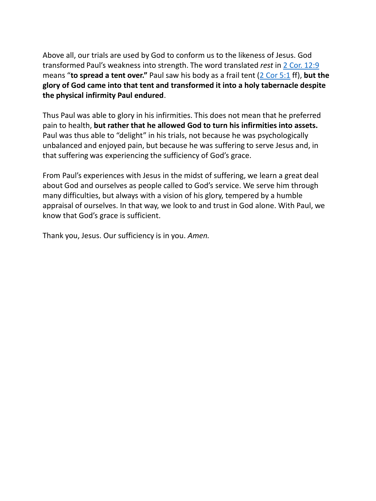Above all, our trials are used by God to conform us to the likeness of Jesus. God transformed Paul's weakness into strength. The word translated *rest* in 2 Cor. 12:9 means "**to spread a tent over."** Paul saw his body as a frail tent (2 Cor 5:1 ff), **but the glory of God came into that tent and transformed it into a holy tabernacle despite the physical infirmity Paul endured**.

Thus Paul was able to glory in his infirmities. This does not mean that he preferred pain to health, **but rather that he allowed God to turn his infirmities into assets.**  Paul was thus able to "delight" in his trials, not because he was psychologically unbalanced and enjoyed pain, but because he was suffering to serve Jesus and, in that suffering was experiencing the sufficiency of God's grace.

From Paul's experiences with Jesus in the midst of suffering, we learn a great deal about God and ourselves as people called to God's service. We serve him through many difficulties, but always with a vision of his glory, tempered by a humble appraisal of ourselves. In that way, we look to and trust in God alone. With Paul, we know that God's grace is sufficient.

Thank you, Jesus. Our sufficiency is in you. *Amen.*